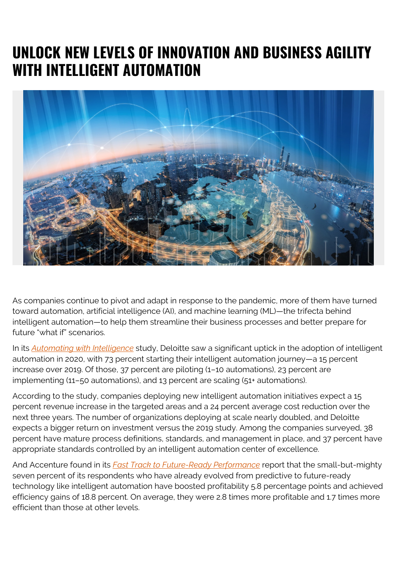## **UNLOCK NEW LEVELS OF INNOVATION AND BUSINESS AGILITY WITH INTELLIGENT AUTOMATION**



As companies continue to pivot and adapt in response to the pandemic, more of them have turned toward automation, artificial intelligence (AI), and machine learning (ML)—the trifecta behind intelligent automation—to help them streamline their business processes and better prepare for future "what if" scenarios.

In its *[Automating with Intelligence](https://www2.deloitte.com/us/en/insights/focus/technology-and-the-future-of-work/intelligent-automation-2020-survey-results.html)* study, Deloitte saw a significant uptick in the adoption of intelligent automation in 2020, with 73 percent starting their intelligent automation journey—a 15 percent increase over 2019. Of those, 37 percent are piloting (1–10 automations), 23 percent are implementing (11–50 automations), and 13 percent are scaling (51+ automations).

According to the study, companies deploying new intelligent automation initiatives expect a 15 percent revenue increase in the targeted areas and a 24 percent average cost reduction over the next three years. The number of organizations deploying at scale nearly doubled, and Deloitte expects a bigger return on investment versus the 2019 study. Among the companies surveyed, 38 percent have mature process definitions, standards, and management in place, and 37 percent have appropriate standards controlled by an intelligent automation center of excellence.

And Accenture found in its *[Fast Track to Future-Ready Performance](https://www.accenture.com/us-en/insights/operations/future-ready-operations)* report that the small-but-mighty seven percent of its respondents who have already evolved from predictive to future-ready technology like intelligent automation have boosted profitability 5.8 percentage points and achieved efficiency gains of 18.8 percent. On average, they were 2.8 times more profitable and 1.7 times more efficient than those at other levels.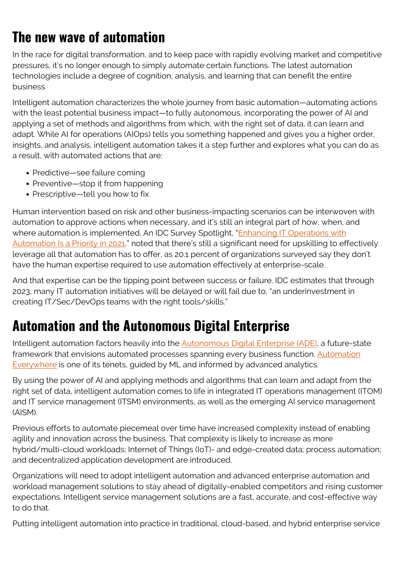## **The new wave of automation**

In the race for digital transformation, and to keep pace with rapidly evolving market and competitive pressures, it's no longer enough to simply automate certain functions. The latest automation technologies include a degree of cognition, analysis, and learning that can benefit the entire business.

Intelligent automation characterizes the whole journey from basic automation—automating actions with the least potential business impact—to fully autonomous, incorporating the power of AI and applying a set of methods and algorithms from which, with the right set of data, it can learn and adapt. While AI for operations (AIOps) tells you something happened and gives you a higher order, insights, and analysis, intelligent automation takes it a step further and explores what you can do as a result, with automated actions that are:

- Predictive—see failure coming
- Preventive—stop it from happening
- Prescriptive—tell you how to fix

Human intervention based on risk and other business-impacting scenarios can be interwoven with automation to approve actions when necessary, and it's still an integral part of how, when, and where automation is implemented. An IDC Survey Spotlight, ["Enhancing IT Operations with](https://www.idc.com/getdoc.jsp?containerId=US47555321) [Automation Is a Priority in 2021,](https://www.idc.com/getdoc.jsp?containerId=US47555321)" noted that there's still a significant need for upskilling to effectively leverage all that automation has to offer, as 20.1 percent of organizations surveyed say they don't have the human expertise required to use automation effectively at enterprise-scale.

And that expertise can be the tipping point between success or failure. IDC estimates that through 2023, many IT automation initiatives will be delayed or will fail due to, "an underinvestment in creating IT/Sec/DevOps teams with the right tools/skills."

## **Automation and the Autonomous Digital Enterprise**

Intelligent automation factors heavily into the [Autonomous Digital Enterprise \(ADE\)](https://blogs.bmc.com/ade), a future-state framework that envisions automated processes spanning every business function. [Automation](https://blogs.bmc.com/it-solutions/it-automation.html) [Everywhere](https://blogs.bmc.com/it-solutions/it-automation.html) is one of its tenets, guided by ML and informed by advanced analytics.

By using the power of AI and applying methods and algorithms that can learn and adapt from the right set of data, intelligent automation comes to life in integrated IT operations management (ITOM) and IT service management (ITSM) environments, as well as the emerging AI service management (AISM).

Previous efforts to automate piecemeal over time have increased complexity instead of enabling agility and innovation across the business. That complexity is likely to increase as more hybrid/multi-cloud workloads; Internet of Things (IoT)- and edge-created data; process automation; and decentralized application development are introduced.

Organizations will need to adopt intelligent automation and advanced enterprise automation and workload management solutions to stay ahead of digitally-enabled competitors and rising customer expectations. Intelligent service management solutions are a fast, accurate, and cost-effective way to do that.

Putting intelligent automation into practice in traditional, cloud-based, and hybrid enterprise service